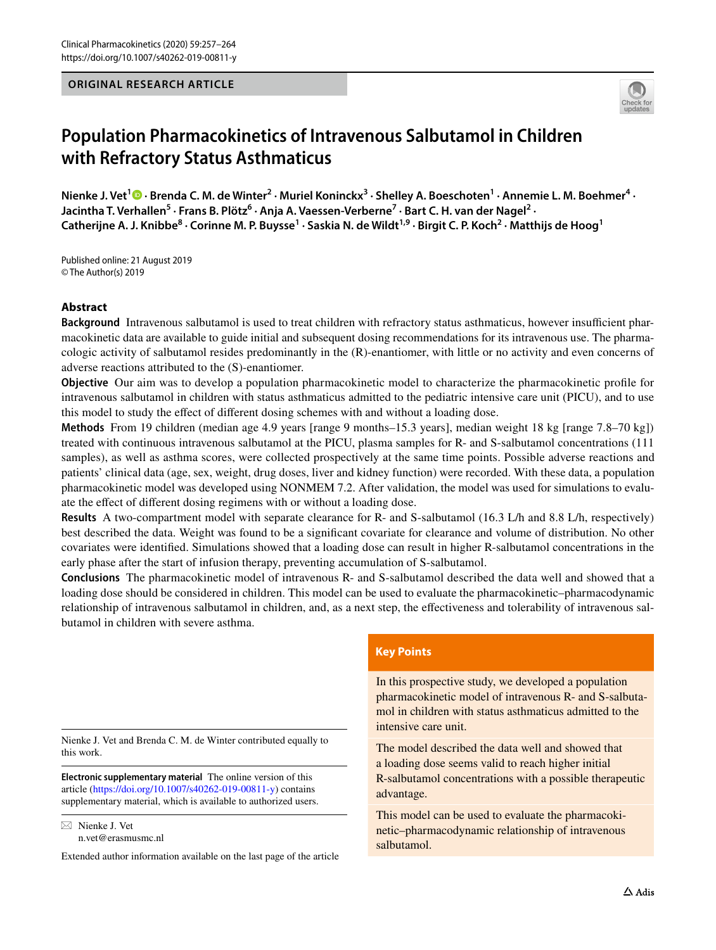## **ORIGINAL RESEARCH ARTICLE**



# **Population Pharmacokinetics of Intravenous Salbutamol in Children with Refractory Status Asthmaticus**

 $\blacksquare$ . Vet $^1\blacksquare$   $\cdot$  Brenda C. M. de Winter $^2$   $\cdot$  Muriel Koninckx $^3$   $\cdot$  Shelley A. Boeschoten $^1$   $\cdot$  Annemie L. M. Boehmer $^4$   $\cdot$ Jacintha T. Verhallen<sup>5</sup> · Frans B. Plötz<sup>6</sup> · Anja A. Vaessen-Verberne<sup>7</sup> · Bart C. H. van der Nagel<sup>2</sup> · **Catherijne A. J. Knibbe8 · Corinne M. P. Buysse1 · Saskia N. de Wildt1,9 · Birgit C. P. Koch2 · Matthijs de Hoog1**

Published online: 21 August 2019 © The Author(s) 2019

## **Abstract**

**Background** Intravenous salbutamol is used to treat children with refractory status asthmaticus, however insufficient pharmacokinetic data are available to guide initial and subsequent dosing recommendations for its intravenous use. The pharmacologic activity of salbutamol resides predominantly in the (R)-enantiomer, with little or no activity and even concerns of adverse reactions attributed to the (S)-enantiomer.

**Objective** Our aim was to develop a population pharmacokinetic model to characterize the pharmacokinetic profle for intravenous salbutamol in children with status asthmaticus admitted to the pediatric intensive care unit (PICU), and to use this model to study the efect of diferent dosing schemes with and without a loading dose.

**Methods** From 19 children (median age 4.9 years [range 9 months–15.3 years], median weight 18 kg [range 7.8–70 kg]) treated with continuous intravenous salbutamol at the PICU, plasma samples for R- and S-salbutamol concentrations (111 samples), as well as asthma scores, were collected prospectively at the same time points. Possible adverse reactions and patients' clinical data (age, sex, weight, drug doses, liver and kidney function) were recorded. With these data, a population pharmacokinetic model was developed using NONMEM 7.2. After validation, the model was used for simulations to evaluate the efect of diferent dosing regimens with or without a loading dose.

**Results** A two-compartment model with separate clearance for R- and S-salbutamol (16.3 L/h and 8.8 L/h, respectively) best described the data. Weight was found to be a signifcant covariate for clearance and volume of distribution. No other covariates were identifed. Simulations showed that a loading dose can result in higher R-salbutamol concentrations in the early phase after the start of infusion therapy, preventing accumulation of S-salbutamol.

**Conclusions** The pharmacokinetic model of intravenous R- and S-salbutamol described the data well and showed that a loading dose should be considered in children. This model can be used to evaluate the pharmacokinetic–pharmacodynamic relationship of intravenous salbutamol in children, and, as a next step, the efectiveness and tolerability of intravenous salbutamol in children with severe asthma.

Nienke J. Vet and Brenda C. M. de Winter contributed equally to this work.

**Electronic supplementary material** The online version of this article [\(https://doi.org/10.1007/s40262-019-00811-y\)](https://doi.org/10.1007/s40262-019-00811-y) contains supplementary material, which is available to authorized users.

 $\boxtimes$  Nienke J. Vet n.vet@erasmusmc.nl

Extended author information available on the last page of the article

#### **Key Points**

In this prospective study, we developed a population pharmacokinetic model of intravenous R- and S-salbutamol in children with status asthmaticus admitted to the intensive care unit.

The model described the data well and showed that a loading dose seems valid to reach higher initial R-salbutamol concentrations with a possible therapeutic advantage.

This model can be used to evaluate the pharmacokinetic–pharmacodynamic relationship of intravenous salbutamol.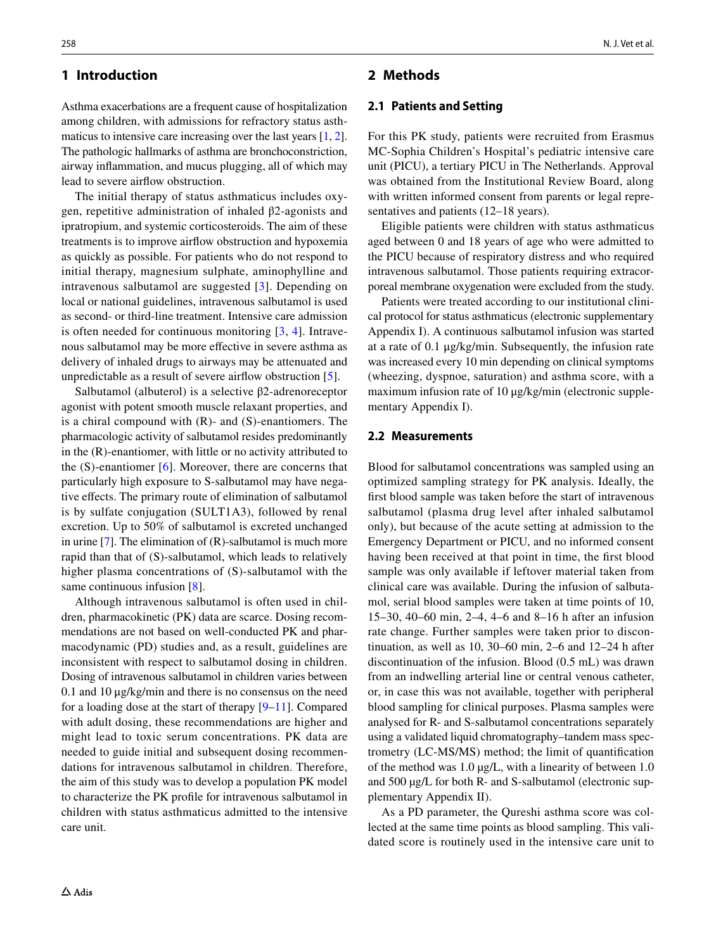## **1 Introduction**

Asthma exacerbations are a frequent cause of hospitalization among children, with admissions for refractory status asthmaticus to intensive care increasing over the last years [[1,](#page-6-0) [2](#page-6-1)]. The pathologic hallmarks of asthma are bronchoconstriction, airway infammation, and mucus plugging, all of which may lead to severe airfow obstruction.

The initial therapy of status asthmaticus includes oxygen, repetitive administration of inhaled β2-agonists and ipratropium, and systemic corticosteroids. The aim of these treatments is to improve airfow obstruction and hypoxemia as quickly as possible. For patients who do not respond to initial therapy, magnesium sulphate, aminophylline and intravenous salbutamol are suggested [\[3\]](#page-6-2). Depending on local or national guidelines, intravenous salbutamol is used as second- or third-line treatment. Intensive care admission is often needed for continuous monitoring  $[3, 4]$  $[3, 4]$  $[3, 4]$  $[3, 4]$ . Intravenous salbutamol may be more efective in severe asthma as delivery of inhaled drugs to airways may be attenuated and unpredictable as a result of severe airfow obstruction [\[5](#page-6-4)].

Salbutamol (albuterol) is a selective β2-adrenoreceptor agonist with potent smooth muscle relaxant properties, and is a chiral compound with  $(R)$ - and  $(S)$ -enantiomers. The pharmacologic activity of salbutamol resides predominantly in the (R)-enantiomer, with little or no activity attributed to the  $(S)$ -enantiomer  $[6]$ . Moreover, there are concerns that particularly high exposure to S-salbutamol may have negative efects. The primary route of elimination of salbutamol is by sulfate conjugation (SULT1A3), followed by renal excretion. Up to 50% of salbutamol is excreted unchanged in urine [[7\]](#page-6-6). The elimination of (R)-salbutamol is much more rapid than that of (S)-salbutamol, which leads to relatively higher plasma concentrations of (S)-salbutamol with the same continuous infusion [[8](#page-6-7)].

Although intravenous salbutamol is often used in children, pharmacokinetic (PK) data are scarce. Dosing recommendations are not based on well-conducted PK and pharmacodynamic (PD) studies and, as a result, guidelines are inconsistent with respect to salbutamol dosing in children. Dosing of intravenous salbutamol in children varies between 0.1 and 10 μg/kg/min and there is no consensus on the need for a loading dose at the start of therapy [\[9–](#page-6-8)[11\]](#page-6-9). Compared with adult dosing, these recommendations are higher and might lead to toxic serum concentrations. PK data are needed to guide initial and subsequent dosing recommendations for intravenous salbutamol in children. Therefore, the aim of this study was to develop a population PK model to characterize the PK profle for intravenous salbutamol in children with status asthmaticus admitted to the intensive care unit.

## **2 Methods**

## **2.1 Patients and Setting**

For this PK study, patients were recruited from Erasmus MC-Sophia Children's Hospital's pediatric intensive care unit (PICU), a tertiary PICU in The Netherlands. Approval was obtained from the Institutional Review Board, along with written informed consent from parents or legal representatives and patients (12–18 years).

Eligible patients were children with status asthmaticus aged between 0 and 18 years of age who were admitted to the PICU because of respiratory distress and who required intravenous salbutamol. Those patients requiring extracorporeal membrane oxygenation were excluded from the study.

Patients were treated according to our institutional clinical protocol for status asthmaticus (electronic supplementary Appendix I). A continuous salbutamol infusion was started at a rate of 0.1 μg/kg/min. Subsequently, the infusion rate was increased every 10 min depending on clinical symptoms (wheezing, dyspnoe, saturation) and asthma score, with a maximum infusion rate of 10 μg/kg/min (electronic supplementary Appendix I).

#### **2.2 Measurements**

Blood for salbutamol concentrations was sampled using an optimized sampling strategy for PK analysis. Ideally, the frst blood sample was taken before the start of intravenous salbutamol (plasma drug level after inhaled salbutamol only), but because of the acute setting at admission to the Emergency Department or PICU, and no informed consent having been received at that point in time, the frst blood sample was only available if leftover material taken from clinical care was available. During the infusion of salbutamol, serial blood samples were taken at time points of 10, 15–30, 40–60 min, 2–4, 4–6 and 8–16 h after an infusion rate change. Further samples were taken prior to discontinuation, as well as 10, 30–60 min, 2–6 and 12–24 h after discontinuation of the infusion. Blood (0.5 mL) was drawn from an indwelling arterial line or central venous catheter, or, in case this was not available, together with peripheral blood sampling for clinical purposes. Plasma samples were analysed for R- and S-salbutamol concentrations separately using a validated liquid chromatography–tandem mass spectrometry (LC-MS/MS) method; the limit of quantifcation of the method was 1.0 µg/L, with a linearity of between 1.0 and 500 µg/L for both R- and S-salbutamol (electronic supplementary Appendix II).

As a PD parameter, the Qureshi asthma score was collected at the same time points as blood sampling. This validated score is routinely used in the intensive care unit to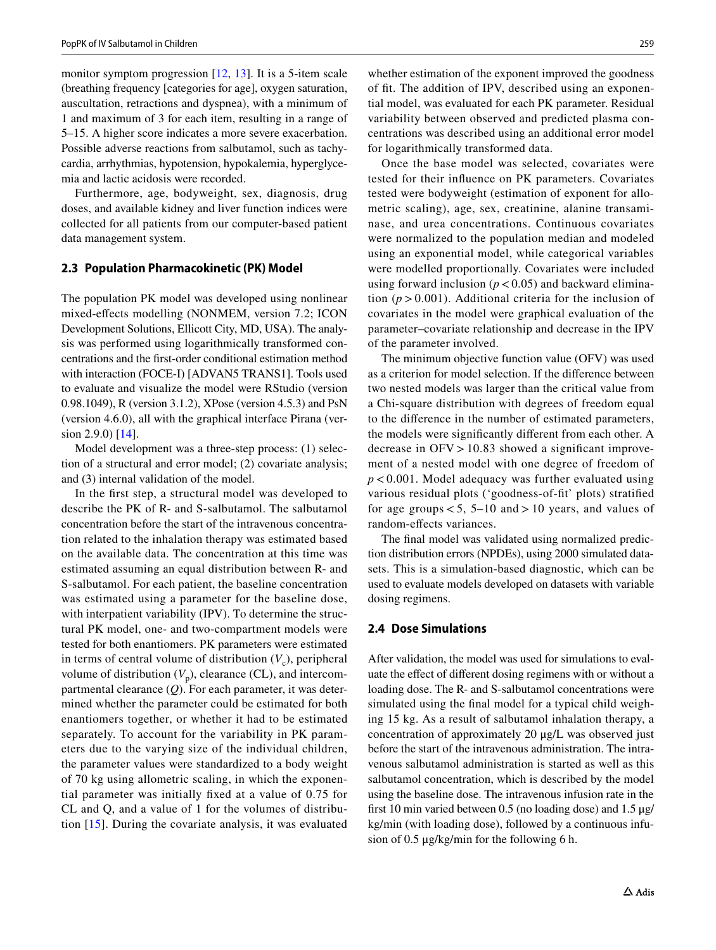monitor symptom progression [[12,](#page-6-10) [13](#page-7-0)]. It is a 5-item scale (breathing frequency [categories for age], oxygen saturation, auscultation, retractions and dyspnea), with a minimum of 1 and maximum of 3 for each item, resulting in a range of 5–15. A higher score indicates a more severe exacerbation. Possible adverse reactions from salbutamol, such as tachycardia, arrhythmias, hypotension, hypokalemia, hyperglycemia and lactic acidosis were recorded.

Furthermore, age, bodyweight, sex, diagnosis, drug doses, and available kidney and liver function indices were collected for all patients from our computer-based patient data management system.

#### **2.3 Population Pharmacokinetic (PK) Model**

The population PK model was developed using nonlinear mixed-efects modelling (NONMEM, version 7.2; ICON Development Solutions, Ellicott City, MD, USA). The analysis was performed using logarithmically transformed concentrations and the frst-order conditional estimation method with interaction (FOCE-I) [ADVAN5 TRANS1]. Tools used to evaluate and visualize the model were RStudio (version 0.98.1049), R (version 3.1.2), XPose (version 4.5.3) and PsN (version 4.6.0), all with the graphical interface Pirana (ver-sion 2.9.0) [[14\]](#page-7-1).

Model development was a three-step process: (1) selection of a structural and error model; (2) covariate analysis; and (3) internal validation of the model.

In the frst step, a structural model was developed to describe the PK of R- and S-salbutamol. The salbutamol concentration before the start of the intravenous concentration related to the inhalation therapy was estimated based on the available data. The concentration at this time was estimated assuming an equal distribution between R- and S-salbutamol. For each patient, the baseline concentration was estimated using a parameter for the baseline dose, with interpatient variability (IPV). To determine the structural PK model, one- and two-compartment models were tested for both enantiomers. PK parameters were estimated in terms of central volume of distribution  $(V_c)$ , peripheral volume of distribution  $(V_p)$ , clearance (CL), and intercompartmental clearance (*Q*). For each parameter, it was determined whether the parameter could be estimated for both enantiomers together, or whether it had to be estimated separately. To account for the variability in PK parameters due to the varying size of the individual children, the parameter values were standardized to a body weight of 70 kg using allometric scaling, in which the exponential parameter was initially fxed at a value of 0.75 for CL and Q, and a value of 1 for the volumes of distribution [[15](#page-7-2)]. During the covariate analysis, it was evaluated whether estimation of the exponent improved the goodness of ft. The addition of IPV, described using an exponential model, was evaluated for each PK parameter. Residual variability between observed and predicted plasma concentrations was described using an additional error model for logarithmically transformed data.

Once the base model was selected, covariates were tested for their infuence on PK parameters. Covariates tested were bodyweight (estimation of exponent for allometric scaling), age, sex, creatinine, alanine transaminase, and urea concentrations. Continuous covariates were normalized to the population median and modeled using an exponential model, while categorical variables were modelled proportionally. Covariates were included using forward inclusion  $(p < 0.05)$  and backward elimination  $(p > 0.001)$ . Additional criteria for the inclusion of covariates in the model were graphical evaluation of the parameter–covariate relationship and decrease in the IPV of the parameter involved.

The minimum objective function value (OFV) was used as a criterion for model selection. If the diference between two nested models was larger than the critical value from a Chi-square distribution with degrees of freedom equal to the diference in the number of estimated parameters, the models were signifcantly diferent from each other. A decrease in  $OFV > 10.83$  showed a significant improvement of a nested model with one degree of freedom of *p* < 0.001. Model adequacy was further evaluated using various residual plots ('goodness-of-ft' plots) stratifed for age groups  $< 5$ , 5–10 and  $> 10$  years, and values of random-efects variances.

The fnal model was validated using normalized prediction distribution errors (NPDEs), using 2000 simulated datasets. This is a simulation-based diagnostic, which can be used to evaluate models developed on datasets with variable dosing regimens.

## **2.4 Dose Simulations**

After validation, the model was used for simulations to evaluate the efect of diferent dosing regimens with or without a loading dose. The R- and S-salbutamol concentrations were simulated using the fnal model for a typical child weighing 15 kg. As a result of salbutamol inhalation therapy, a concentration of approximately 20 μg/L was observed just before the start of the intravenous administration. The intravenous salbutamol administration is started as well as this salbutamol concentration, which is described by the model using the baseline dose. The intravenous infusion rate in the frst 10 min varied between 0.5 (no loading dose) and 1.5 μg/ kg/min (with loading dose), followed by a continuous infusion of 0.5 μg/kg/min for the following 6 h.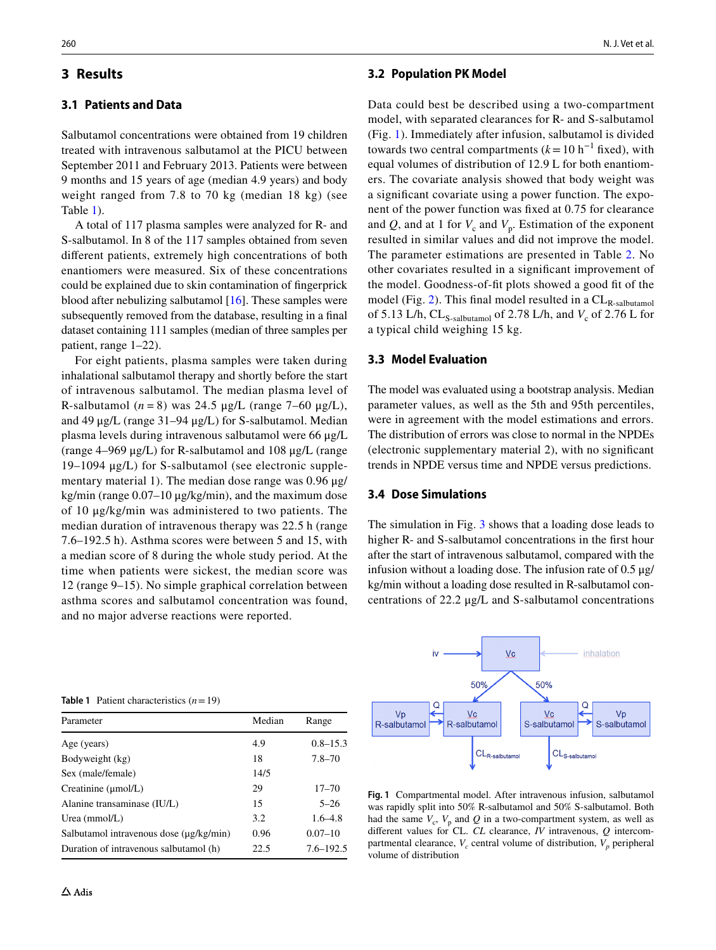## **3 Results**

## **3.1 Patients and Data**

Salbutamol concentrations were obtained from 19 children treated with intravenous salbutamol at the PICU between September 2011 and February 2013. Patients were between 9 months and 15 years of age (median 4.9 years) and body weight ranged from 7.8 to 70 kg (median 18 kg) (see Table [1](#page-3-0)).

A total of 117 plasma samples were analyzed for R- and S-salbutamol. In 8 of the 117 samples obtained from seven diferent patients, extremely high concentrations of both enantiomers were measured. Six of these concentrations could be explained due to skin contamination of fngerprick blood after nebulizing salbutamol [\[16](#page-7-3)]. These samples were subsequently removed from the database, resulting in a fnal dataset containing 111 samples (median of three samples per patient, range 1–22).

For eight patients, plasma samples were taken during inhalational salbutamol therapy and shortly before the start of intravenous salbutamol. The median plasma level of R-salbutamol  $(n = 8)$  was 24.5 μg/L (range 7–60 μg/L), and 49 μg/L (range 31–94 μg/L) for S-salbutamol. Median plasma levels during intravenous salbutamol were 66 μg/L (range 4–969 μg/L) for R-salbutamol and 108 μg/L (range 19–1094 μg/L) for S-salbutamol (see electronic supplementary material 1). The median dose range was 0.96 μg/ kg/min (range 0.07–10 μg/kg/min), and the maximum dose of 10 μg/kg/min was administered to two patients. The median duration of intravenous therapy was 22.5 h (range 7.6–192.5 h). Asthma scores were between 5 and 15, with a median score of 8 during the whole study period. At the time when patients were sickest, the median score was 12 (range 9–15). No simple graphical correlation between asthma scores and salbutamol concentration was found, and no major adverse reactions were reported.

#### **3.2 Population PK Model**

Data could best be described using a two-compartment model, with separated clearances for R- and S-salbutamol (Fig. [1](#page-3-1)). Immediately after infusion, salbutamol is divided towards two central compartments  $(k=10 \text{ h}^{-1} \text{ fixed})$ , with equal volumes of distribution of 12.9 L for both enantiomers. The covariate analysis showed that body weight was a signifcant covariate using a power function. The exponent of the power function was fxed at 0.75 for clearance and *Q*, and at 1 for  $V_c$  and  $V_p$ . Estimation of the exponent resulted in similar values and did not improve the model. The parameter estimations are presented in Table [2](#page-4-0). No other covariates resulted in a signifcant improvement of the model. Goodness-of-ft plots showed a good ft of the model (Fig. [2\)](#page-4-1). This final model resulted in a  $CL_{R-salbutamol}$ of 5.13 L/h,  $CL_{S-salbutamol}$  of 2.78 L/h, and  $V_c$  of 2.76 L for a typical child weighing 15 kg.

## **3.3 Model Evaluation**

The model was evaluated using a bootstrap analysis. Median parameter values, as well as the 5th and 95th percentiles, were in agreement with the model estimations and errors. The distribution of errors was close to normal in the NPDEs (electronic supplementary material 2), with no signifcant trends in NPDE versus time and NPDE versus predictions.

#### **3.4 Dose Simulations**

The simulation in Fig. [3](#page-5-0) shows that a loading dose leads to higher R- and S-salbutamol concentrations in the first hour after the start of intravenous salbutamol, compared with the infusion without a loading dose. The infusion rate of 0.5 μg/ kg/min without a loading dose resulted in R-salbutamol concentrations of 22.2 μg/L and S-salbutamol concentrations



<span id="page-3-0"></span>

|  | <b>Table 1</b> Patient characteristics $(n=19)$ |  |
|--|-------------------------------------------------|--|
|--|-------------------------------------------------|--|

| Parameter                                    | Median | Range         |
|----------------------------------------------|--------|---------------|
| Age (years)                                  | 4.9    | $0.8 - 15.3$  |
| Bodyweight (kg)                              | 18     | $7.8 - 70$    |
| Sex (male/female)                            | 14/5   |               |
| Creatinine $(\mu$ mol/L)                     | 29     | $17 - 70$     |
| Alanine transaminase (IU/L)                  | 15     | $5 - 26$      |
| Urea $(mmol/L)$                              | 3.2    | $1.6 - 4.8$   |
| Salbutamol intravenous dose $(\mu g/kg/min)$ | 0.96   | $0.07 - 10$   |
| Duration of intravenous salbutamol (h)       | 22.5   | $7.6 - 192.5$ |

<span id="page-3-1"></span>**Fig. 1** Compartmental model. After intravenous infusion, salbutamol was rapidly split into 50% R-salbutamol and 50% S-salbutamol. Both had the same  $V_c$ ,  $V_p$  and  $Q$  in a two-compartment system, as well as diferent values for CL. *CL* clearance, *IV* intravenous, *Q* intercompartmental clearance,  $V_c$  central volume of distribution,  $V_p$  peripheral volume of distribution

Vp

S-salbutamol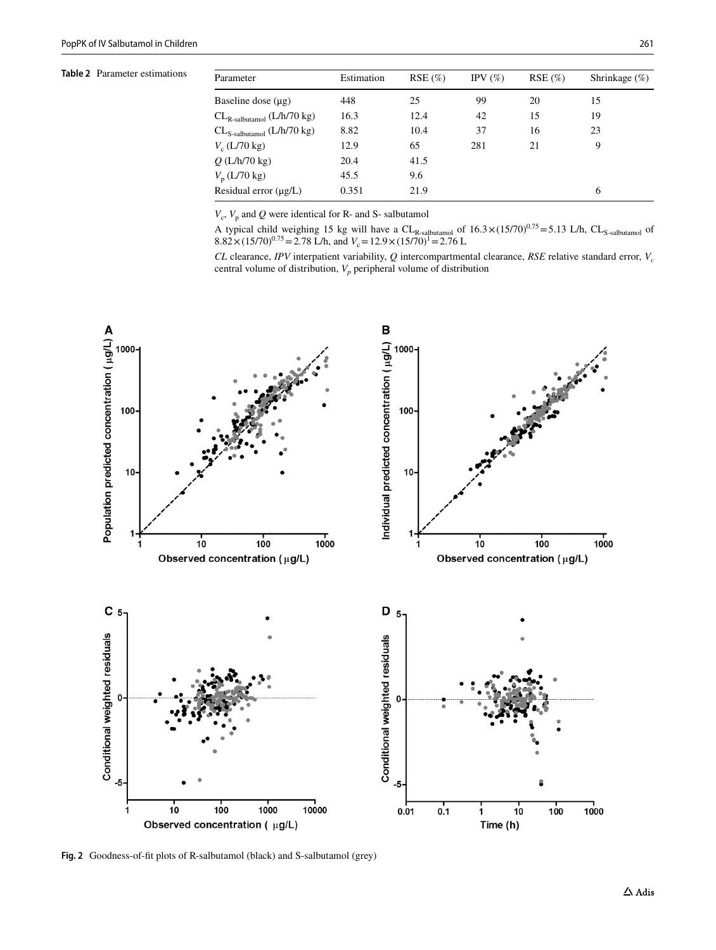<span id="page-4-0"></span>**Table 2** Parameter estimations

| Parameter                          | Estimation | RSE(%) | IPV $(\%)$ | $RSE(\%)$ | Shrinkage $(\%)$ |
|------------------------------------|------------|--------|------------|-----------|------------------|
| Baseline dose $(\mu g)$            | 448        | 25     | 99         | 20        | 15               |
| $CL_{R-salbutamol}$ ( $L/h/70$ kg) | 16.3       | 12.4   | 42         | 15        | 19               |
| $CL_{S-salbutamol}$ ( $L/h/70$ kg) | 8.82       | 10.4   | 37         | 16        | 23               |
| $V_c$ (L/70 kg)                    | 12.9       | 65     | 281        | 21        | 9                |
| $Q(L/h/70 \text{ kg})$             | 20.4       | 41.5   |            |           |                  |
| $V_{\rm p}$ (L/70 kg)              | 45.5       | 9.6    |            |           |                  |
| Residual error $(\mu g/L)$         | 0.351      | 21.9   |            |           | 6                |

 $V_c$ ,  $V_p$  and  $Q$  were identical for R- and S- salbutamol

A typical child weighing 15 kg will have a  $CL_{R\text{-salbumol}}$  of  $16.3 \times (15/70)^{0.75} = 5.13$  L/h,  $CL_{S\text{-salbumol}}$  of  $8.82 \times (15/70)^{0.75} = 2.78$  L/h, and  $V_c = 12.9 \times (15/70)^1 = 2.76$  L

*CL* clearance, *IPV* interpatient variability, *Q* intercompartmental clearance, *RSE* relative standard error, *V<sub>c</sub>* central volume of distribution,  $V_p$  peripheral volume of distribution



<span id="page-4-1"></span>**Fig. 2** Goodness-of-ft plots of R-salbutamol (black) and S-salbutamol (grey)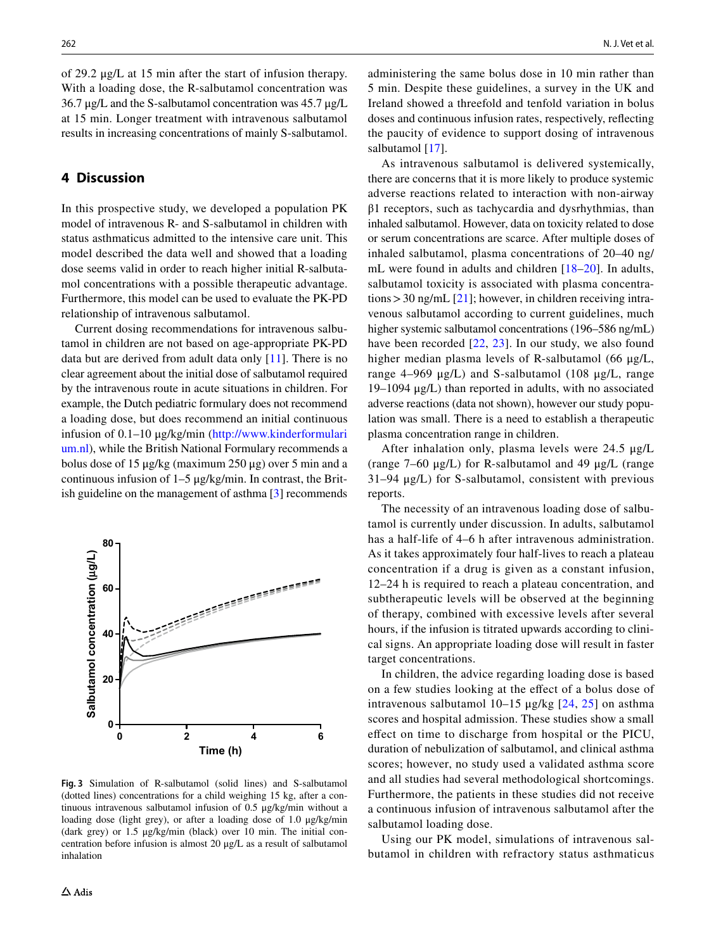of 29.2 μg/L at 15 min after the start of infusion therapy. With a loading dose, the R-salbutamol concentration was 36.7 μg/L and the S-salbutamol concentration was 45.7 μg/L at 15 min. Longer treatment with intravenous salbutamol results in increasing concentrations of mainly S-salbutamol.

## **4 Discussion**

In this prospective study, we developed a population PK model of intravenous R- and S-salbutamol in children with status asthmaticus admitted to the intensive care unit. This model described the data well and showed that a loading dose seems valid in order to reach higher initial R-salbutamol concentrations with a possible therapeutic advantage. Furthermore, this model can be used to evaluate the PK-PD relationship of intravenous salbutamol.

Current dosing recommendations for intravenous salbutamol in children are not based on age-appropriate PK-PD data but are derived from adult data only  $[11]$  $[11]$ . There is no clear agreement about the initial dose of salbutamol required by the intravenous route in acute situations in children. For example, the Dutch pediatric formulary does not recommend a loading dose, but does recommend an initial continuous infusion of 0.1–10 μg/kg/min ([http://www.kinderformulari](http://www.kinderformularium.nl) [um.nl](http://www.kinderformularium.nl)), while the British National Formulary recommends a bolus dose of 15 μg/kg (maximum 250 μg) over 5 min and a continuous infusion of 1–5 μg/kg/min. In contrast, the British guideline on the management of asthma [[3\]](#page-6-2) recommends



<span id="page-5-0"></span>**Fig. 3** Simulation of R-salbutamol (solid lines) and S-salbutamol (dotted lines) concentrations for a child weighing 15 kg, after a continuous intravenous salbutamol infusion of 0.5 μg/kg/min without a loading dose (light grey), or after a loading dose of 1.0 μg/kg/min (dark grey) or 1.5 μg/kg/min (black) over 10 min. The initial concentration before infusion is almost 20 μg/L as a result of salbutamol inhalation

administering the same bolus dose in 10 min rather than 5 min. Despite these guidelines, a survey in the UK and Ireland showed a threefold and tenfold variation in bolus doses and continuous infusion rates, respectively, refecting the paucity of evidence to support dosing of intravenous salbutamol [\[17\]](#page-7-4).

As intravenous salbutamol is delivered systemically, there are concerns that it is more likely to produce systemic adverse reactions related to interaction with non-airway β1 receptors, such as tachycardia and dysrhythmias, than inhaled salbutamol. However, data on toxicity related to dose or serum concentrations are scarce. After multiple doses of inhaled salbutamol, plasma concentrations of 20–40 ng/ mL were found in adults and children [\[18–](#page-7-5)[20](#page-7-6)]. In adults, salbutamol toxicity is associated with plasma concentrations > 30 ng/mL  $[21]$  $[21]$ ; however, in children receiving intravenous salbutamol according to current guidelines, much higher systemic salbutamol concentrations (196–586 ng/mL) have been recorded [[22](#page-7-8), [23](#page-7-9)]. In our study, we also found higher median plasma levels of R-salbutamol (66 μg/L, range 4–969 μg/L) and S-salbutamol (108 μg/L, range 19–1094 μg/L) than reported in adults, with no associated adverse reactions (data not shown), however our study population was small. There is a need to establish a therapeutic plasma concentration range in children.

After inhalation only, plasma levels were 24.5 μg/L (range  $7-60 \mu g/L$ ) for R-salbutamol and 49  $\mu g/L$  (range 31–94 μg/L) for S-salbutamol, consistent with previous reports.

The necessity of an intravenous loading dose of salbutamol is currently under discussion. In adults, salbutamol has a half-life of 4–6 h after intravenous administration. As it takes approximately four half-lives to reach a plateau concentration if a drug is given as a constant infusion, 12–24 h is required to reach a plateau concentration, and subtherapeutic levels will be observed at the beginning of therapy, combined with excessive levels after several hours, if the infusion is titrated upwards according to clinical signs. An appropriate loading dose will result in faster target concentrations.

In children, the advice regarding loading dose is based on a few studies looking at the efect of a bolus dose of intravenous salbutamol 10–15  $\mu$ g/kg [[24](#page-7-10), [25\]](#page-7-11) on asthma scores and hospital admission. These studies show a small efect on time to discharge from hospital or the PICU, duration of nebulization of salbutamol, and clinical asthma scores; however, no study used a validated asthma score and all studies had several methodological shortcomings. Furthermore, the patients in these studies did not receive a continuous infusion of intravenous salbutamol after the salbutamol loading dose.

Using our PK model, simulations of intravenous salbutamol in children with refractory status asthmaticus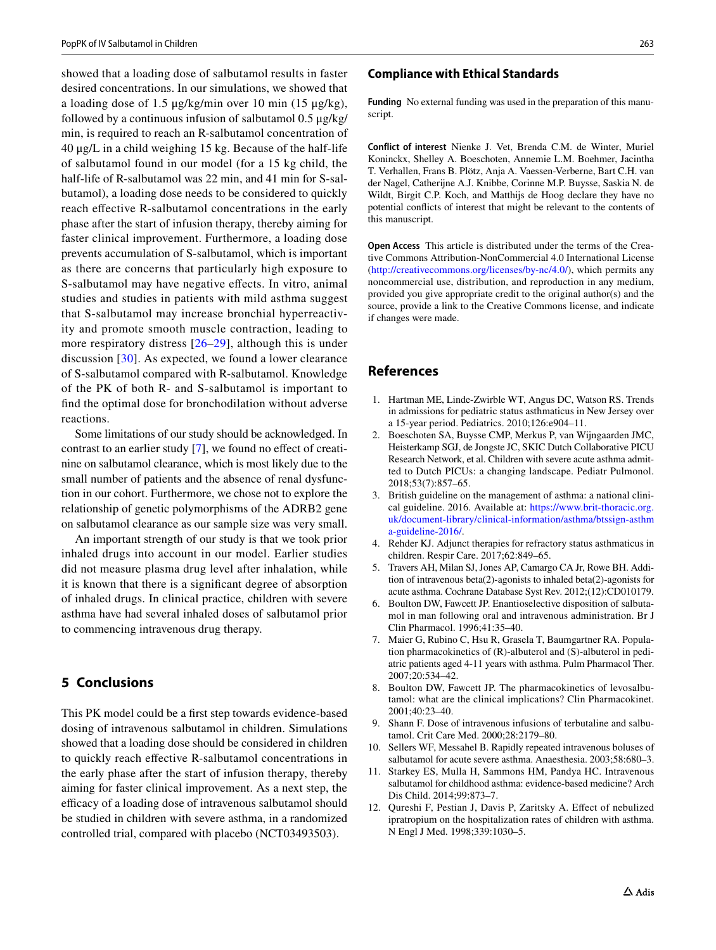showed that a loading dose of salbutamol results in faster desired concentrations. In our simulations, we showed that a loading dose of 1.5 μg/kg/min over 10 min (15 μg/kg), followed by a continuous infusion of salbutamol 0.5 μg/kg/ min, is required to reach an R-salbutamol concentration of 40 μg/L in a child weighing 15 kg. Because of the half-life of salbutamol found in our model (for a 15 kg child, the half-life of R-salbutamol was 22 min, and 41 min for S-salbutamol), a loading dose needs to be considered to quickly reach effective R-salbutamol concentrations in the early phase after the start of infusion therapy, thereby aiming for faster clinical improvement. Furthermore, a loading dose prevents accumulation of S-salbutamol, which is important as there are concerns that particularly high exposure to S-salbutamol may have negative efects. In vitro, animal studies and studies in patients with mild asthma suggest that S-salbutamol may increase bronchial hyperreactivity and promote smooth muscle contraction, leading to more respiratory distress  $[26-29]$  $[26-29]$  $[26-29]$ , although this is under discussion [[30](#page-7-14)]. As expected, we found a lower clearance of S-salbutamol compared with R-salbutamol. Knowledge of the PK of both R- and S-salbutamol is important to fnd the optimal dose for bronchodilation without adverse reactions.

Some limitations of our study should be acknowledged. In contrast to an earlier study [[7\]](#page-6-6), we found no efect of creatinine on salbutamol clearance, which is most likely due to the small number of patients and the absence of renal dysfunction in our cohort. Furthermore, we chose not to explore the relationship of genetic polymorphisms of the ADRB2 gene on salbutamol clearance as our sample size was very small.

An important strength of our study is that we took prior inhaled drugs into account in our model. Earlier studies did not measure plasma drug level after inhalation, while it is known that there is a signifcant degree of absorption of inhaled drugs. In clinical practice, children with severe asthma have had several inhaled doses of salbutamol prior to commencing intravenous drug therapy.

## **5 Conclusions**

This PK model could be a frst step towards evidence-based dosing of intravenous salbutamol in children. Simulations showed that a loading dose should be considered in children to quickly reach efective R-salbutamol concentrations in the early phase after the start of infusion therapy, thereby aiming for faster clinical improvement. As a next step, the efficacy of a loading dose of intravenous salbutamol should be studied in children with severe asthma, in a randomized controlled trial, compared with placebo (NCT03493503).

#### **Compliance with Ethical Standards**

**Funding** No external funding was used in the preparation of this manuscript.

**Conflict of interest** Nienke J. Vet, Brenda C.M. de Winter, Muriel Koninckx, Shelley A. Boeschoten, Annemie L.M. Boehmer, Jacintha T. Verhallen, Frans B. Plötz, Anja A. Vaessen-Verberne, Bart C.H. van der Nagel, Catherijne A.J. Knibbe, Corinne M.P. Buysse, Saskia N. de Wildt, Birgit C.P. Koch, and Matthijs de Hoog declare they have no potential conficts of interest that might be relevant to the contents of this manuscript.

**Open Access** This article is distributed under the terms of the Creative Commons Attribution-NonCommercial 4.0 International License (<http://creativecommons.org/licenses/by-nc/4.0/>), which permits any noncommercial use, distribution, and reproduction in any medium, provided you give appropriate credit to the original author(s) and the source, provide a link to the Creative Commons license, and indicate if changes were made.

## **References**

- <span id="page-6-0"></span>1. Hartman ME, Linde-Zwirble WT, Angus DC, Watson RS. Trends in admissions for pediatric status asthmaticus in New Jersey over a 15-year period. Pediatrics. 2010;126:e904–11.
- <span id="page-6-1"></span>2. Boeschoten SA, Buysse CMP, Merkus P, van Wijngaarden JMC, Heisterkamp SGJ, de Jongste JC, SKIC Dutch Collaborative PICU Research Network, et al. Children with severe acute asthma admitted to Dutch PICUs: a changing landscape. Pediatr Pulmonol. 2018;53(7):857–65.
- <span id="page-6-2"></span>3. British guideline on the management of asthma: a national clinical guideline. 2016. Available at: [https://www.brit-thoracic.org.](https://www.brit-thoracic.org.uk/document-library/clinical-information/asthma/btssign-asthma-guideline-2016/) [uk/document-library/clinical-information/asthma/btssign-asthm](https://www.brit-thoracic.org.uk/document-library/clinical-information/asthma/btssign-asthma-guideline-2016/) [a-guideline-2016/](https://www.brit-thoracic.org.uk/document-library/clinical-information/asthma/btssign-asthma-guideline-2016/).
- <span id="page-6-3"></span>4. Rehder KJ. Adjunct therapies for refractory status asthmaticus in children. Respir Care. 2017;62:849–65.
- <span id="page-6-4"></span>5. Travers AH, Milan SJ, Jones AP, Camargo CA Jr, Rowe BH. Addition of intravenous beta(2)-agonists to inhaled beta(2)-agonists for acute asthma. Cochrane Database Syst Rev. 2012;(12):CD010179.
- <span id="page-6-5"></span>6. Boulton DW, Fawcett JP. Enantioselective disposition of salbutamol in man following oral and intravenous administration. Br J Clin Pharmacol. 1996;41:35–40.
- <span id="page-6-6"></span>7. Maier G, Rubino C, Hsu R, Grasela T, Baumgartner RA. Population pharmacokinetics of (R)-albuterol and (S)-albuterol in pediatric patients aged 4-11 years with asthma. Pulm Pharmacol Ther. 2007;20:534–42.
- <span id="page-6-7"></span>8. Boulton DW, Fawcett JP. The pharmacokinetics of levosalbutamol: what are the clinical implications? Clin Pharmacokinet. 2001;40:23–40.
- <span id="page-6-8"></span>9. Shann F. Dose of intravenous infusions of terbutaline and salbutamol. Crit Care Med. 2000;28:2179–80.
- 10. Sellers WF, Messahel B. Rapidly repeated intravenous boluses of salbutamol for acute severe asthma. Anaesthesia. 2003;58:680–3.
- <span id="page-6-9"></span>11. Starkey ES, Mulla H, Sammons HM, Pandya HC. Intravenous salbutamol for childhood asthma: evidence-based medicine? Arch Dis Child. 2014;99:873–7.
- <span id="page-6-10"></span>12. Qureshi F, Pestian J, Davis P, Zaritsky A. Efect of nebulized ipratropium on the hospitalization rates of children with asthma. N Engl J Med. 1998;339:1030–5.